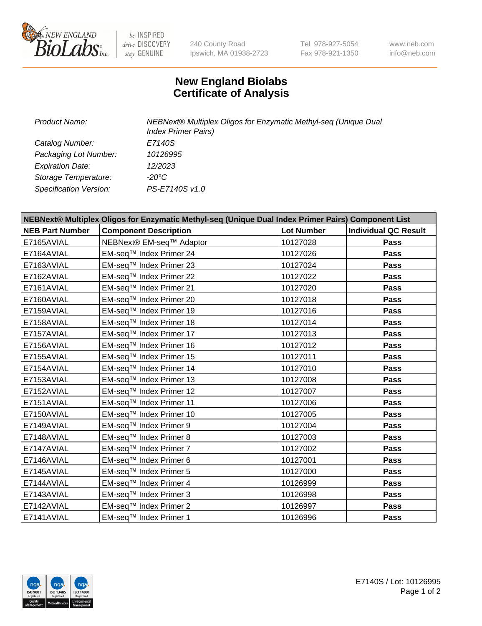

 $be$  INSPIRED drive DISCOVERY stay GENUINE

240 County Road Ipswich, MA 01938-2723 Tel 978-927-5054 Fax 978-921-1350 www.neb.com info@neb.com

## **New England Biolabs Certificate of Analysis**

| Product Name:           | NEBNext® Multiplex Oligos for Enzymatic Methyl-seq (Unique Dual<br><b>Index Primer Pairs)</b> |
|-------------------------|-----------------------------------------------------------------------------------------------|
| Catalog Number:         | E7140S                                                                                        |
| Packaging Lot Number:   | 10126995                                                                                      |
| <b>Expiration Date:</b> | 12/2023                                                                                       |
| Storage Temperature:    | -20°C                                                                                         |
| Specification Version:  | PS-E7140S v1.0                                                                                |

| NEBNext® Multiplex Oligos for Enzymatic Methyl-seq (Unique Dual Index Primer Pairs) Component List |                              |                   |                             |  |
|----------------------------------------------------------------------------------------------------|------------------------------|-------------------|-----------------------------|--|
| <b>NEB Part Number</b>                                                                             | <b>Component Description</b> | <b>Lot Number</b> | <b>Individual QC Result</b> |  |
| E7165AVIAL                                                                                         | NEBNext® EM-seq™ Adaptor     | 10127028          | Pass                        |  |
| E7164AVIAL                                                                                         | EM-seq™ Index Primer 24      | 10127026          | <b>Pass</b>                 |  |
| E7163AVIAL                                                                                         | EM-seq™ Index Primer 23      | 10127024          | <b>Pass</b>                 |  |
| E7162AVIAL                                                                                         | EM-seq™ Index Primer 22      | 10127022          | Pass                        |  |
| E7161AVIAL                                                                                         | EM-seq™ Index Primer 21      | 10127020          | <b>Pass</b>                 |  |
| E7160AVIAL                                                                                         | EM-seq™ Index Primer 20      | 10127018          | Pass                        |  |
| E7159AVIAL                                                                                         | EM-seq™ Index Primer 19      | 10127016          | <b>Pass</b>                 |  |
| E7158AVIAL                                                                                         | EM-seq™ Index Primer 18      | 10127014          | <b>Pass</b>                 |  |
| E7157AVIAL                                                                                         | EM-seq™ Index Primer 17      | 10127013          | Pass                        |  |
| E7156AVIAL                                                                                         | EM-seq™ Index Primer 16      | 10127012          | <b>Pass</b>                 |  |
| E7155AVIAL                                                                                         | EM-seq™ Index Primer 15      | 10127011          | <b>Pass</b>                 |  |
| E7154AVIAL                                                                                         | EM-seq™ Index Primer 14      | 10127010          | <b>Pass</b>                 |  |
| E7153AVIAL                                                                                         | EM-seq™ Index Primer 13      | 10127008          | Pass                        |  |
| E7152AVIAL                                                                                         | EM-seq™ Index Primer 12      | 10127007          | Pass                        |  |
| E7151AVIAL                                                                                         | EM-seq™ Index Primer 11      | 10127006          | <b>Pass</b>                 |  |
| E7150AVIAL                                                                                         | EM-seq™ Index Primer 10      | 10127005          | <b>Pass</b>                 |  |
| E7149AVIAL                                                                                         | EM-seq™ Index Primer 9       | 10127004          | <b>Pass</b>                 |  |
| E7148AVIAL                                                                                         | EM-seq™ Index Primer 8       | 10127003          | <b>Pass</b>                 |  |
| E7147AVIAL                                                                                         | EM-seq™ Index Primer 7       | 10127002          | <b>Pass</b>                 |  |
| E7146AVIAL                                                                                         | EM-seq™ Index Primer 6       | 10127001          | <b>Pass</b>                 |  |
| E7145AVIAL                                                                                         | EM-seq™ Index Primer 5       | 10127000          | <b>Pass</b>                 |  |
| E7144AVIAL                                                                                         | EM-seq™ Index Primer 4       | 10126999          | Pass                        |  |
| E7143AVIAL                                                                                         | EM-seq™ Index Primer 3       | 10126998          | <b>Pass</b>                 |  |
| E7142AVIAL                                                                                         | EM-seq™ Index Primer 2       | 10126997          | <b>Pass</b>                 |  |
| E7141AVIAL                                                                                         | EM-seq™ Index Primer 1       | 10126996          | <b>Pass</b>                 |  |